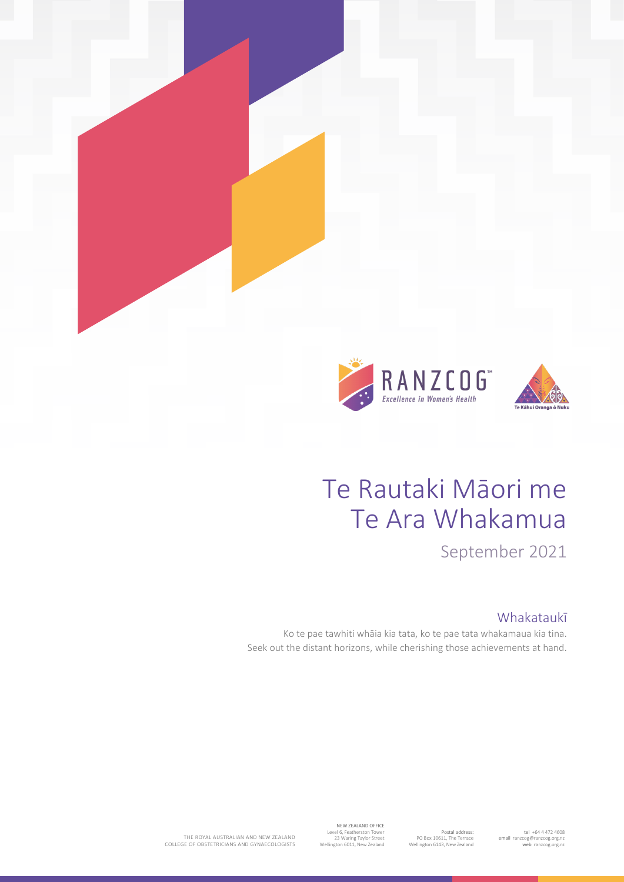

# Te Rautaki Māori me Te Ara Whakamua

September 2021

## Whakataukī

Ko te pae tawhiti whāia kia tata, ko te pae tata whakamaua kia tina. Seek out the distant horizons, while cherishing those achievements at hand.

> tel +64 4 472 4608 email [ranzcog@ranzcog.org.nz](mailto:ranzcog@ranzcog.org.nz) web [ranzcog.org.nz](http://www.ranzcog.org.nz/)

Postal address: PO Box 10611, The Terrace Wellington 6143, New Zealand

NEW ZEALAND OFFICE Level 6, Featherston Tower 23 Waring Taylor Street Wellington 6011, New Zealand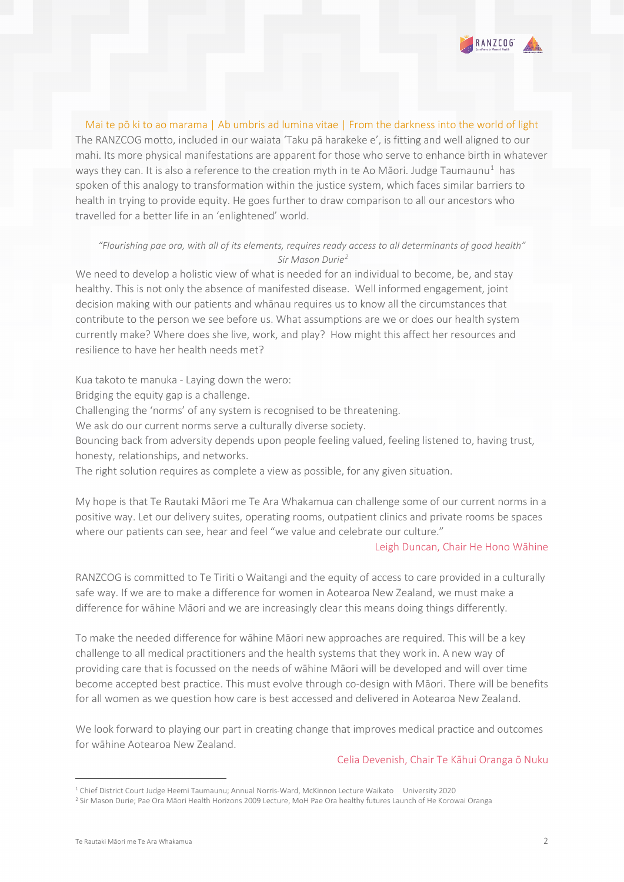

Mai te pō ki to ao marama | Ab umbris ad lumina vitae | From the darkness into the world of light The RANZCOG motto, included in our waiata 'Taku pā harakeke e', is fitting and well aligned to our mahi. Its more physical manifestations are apparent for those who serve to enhance birth in whatever ways they can. It is also a reference to the creation myth in te Ao Māori. Judge Taumaunu<sup>[1](#page-1-0)</sup> has spoken of this analogy to transformation within the justice system, which faces similar barriers to health in trying to provide equity. He goes further to draw comparison to all our ancestors who travelled for a better life in an 'enlightened' world.

#### *"Flourishing pae ora, with all of its elements, requires ready access to all determinants of good health" Sir Mason Durie[2](#page-1-1)*

We need to develop a holistic view of what is needed for an individual to become, be, and stay healthy. This is not only the absence of manifested disease. Well informed engagement, joint decision making with our patients and whānau requires us to know all the circumstances that contribute to the person we see before us. What assumptions are we or does our health system currently make? Where does she live, work, and play? How might this affect her resources and resilience to have her health needs met?

Kua takoto te manuka - Laying down the wero:

Bridging the equity gap is a challenge.

Challenging the 'norms' of any system is recognised to be threatening.

We ask do our current norms serve a culturally diverse society.

Bouncing back from adversity depends upon people feeling valued, feeling listened to, having trust, honesty, relationships, and networks.

The right solution requires as complete a view as possible, for any given situation.

My hope is that Te Rautaki Māori me Te Ara Whakamua can challenge some of our current norms in a positive way. Let our delivery suites, operating rooms, outpatient clinics and private rooms be spaces where our patients can see, hear and feel "we value and celebrate our culture."

#### Leigh Duncan, Chair He Hono Wāhine

RANZCOG is committed to Te Tiriti o Waitangi and the equity of access to care provided in a culturally safe way. If we are to make a difference for women in Aotearoa New Zealand, we must make a difference for wāhine Māori and we are increasingly clear this means doing things differently.

To make the needed difference for wāhine Māori new approaches are required. This will be a key challenge to all medical practitioners and the health systems that they work in. A new way of providing care that is focussed on the needs of wāhine Māori will be developed and will over time become accepted best practice. This must evolve through co-design with Māori. There will be benefits for all women as we question how care is best accessed and delivered in Aotearoa New Zealand.

We look forward to playing our part in creating change that improves medical practice and outcomes for wāhine Aotearoa New Zealand.

#### Celia Devenish, Chair Te Kāhui Oranga ō Nuku

<span id="page-1-1"></span><span id="page-1-0"></span><sup>1</sup> Chief District Court Judge Heemi Taumaunu; Annual Norris-Ward, McKinnon Lecture Waikato University 2020

<sup>2</sup> Sir Mason Durie; Pae Ora Māori Health Horizons 2009 Lecture, MoH Pae Ora healthy futures Launch of He Korowai Oranga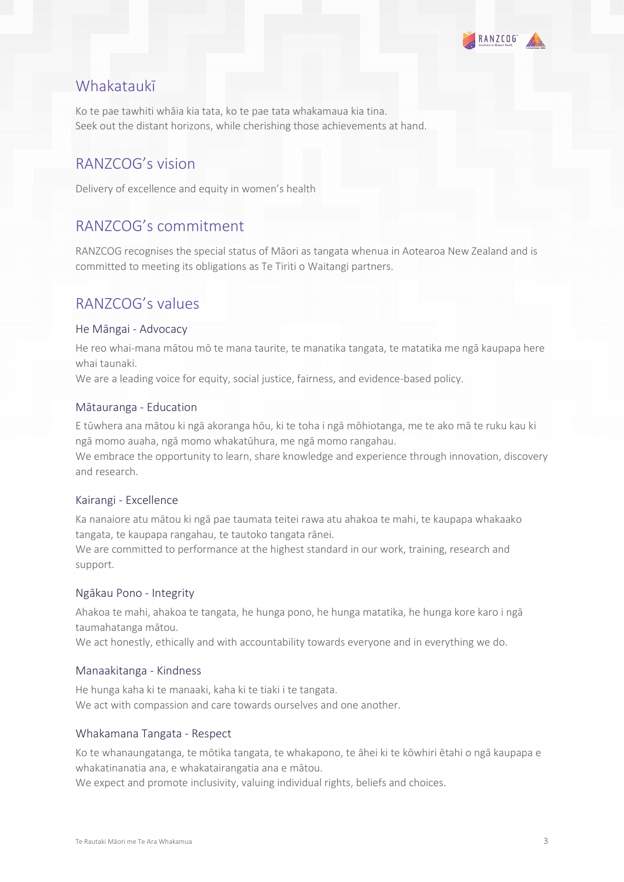

# Whakataukī

Ko te pae tawhiti whāia kia tata, ko te pae tata whakamaua kia tina. Seek out the distant horizons, while cherishing those achievements at hand.

# RANZCOG's vision

Delivery of excellence and equity in women's health

# RANZCOG's commitment

RANZCOG recognises the special status of Māori as tangata whenua in Aotearoa New Zealand and is committed to meeting its obligations as Te Tiriti o Waitangi partners.

# RANZCOG's values

#### He Māngai - Advocacy

He reo whai-mana mātou mō te mana taurite, te manatika tangata, te matatika me ngā kaupapa here whai taunaki.

We are a leading voice for equity, social justice, fairness, and evidence-based policy.

#### Mātauranga - Education

E tūwhera ana mātou ki ngā akoranga hōu, ki te toha i ngā mōhiotanga, me te ako mā te ruku kau ki ngā momo auaha, ngā momo whakatūhura, me ngā momo rangahau.

We embrace the opportunity to learn, share knowledge and experience through innovation, discovery and research.

#### Kairangi - Excellence

Ka nanaiore atu mātou ki ngā pae taumata teitei rawa atu ahakoa te mahi, te kaupapa whakaako tangata, te kaupapa rangahau, te tautoko tangata rānei.

We are committed to performance at the highest standard in our work, training, research and support.

#### Ngākau Pono - Integrity

Ahakoa te mahi, ahakoa te tangata, he hunga pono, he hunga matatika, he hunga kore karo i ngā taumahatanga mātou.

We act honestly, ethically and with accountability towards everyone and in everything we do.

#### Manaakitanga - Kindness

He hunga kaha ki te manaaki, kaha ki te tiaki i te tangata. We act with compassion and care towards ourselves and one another.

#### Whakamana Tangata - Respect

Ko te whanaungatanga, te mōtika tangata, te whakapono, te āhei ki te kōwhiri ētahi o ngā kaupapa e whakatinanatia ana, e whakatairangatia ana e mātou.

We expect and promote inclusivity, valuing individual rights, beliefs and choices.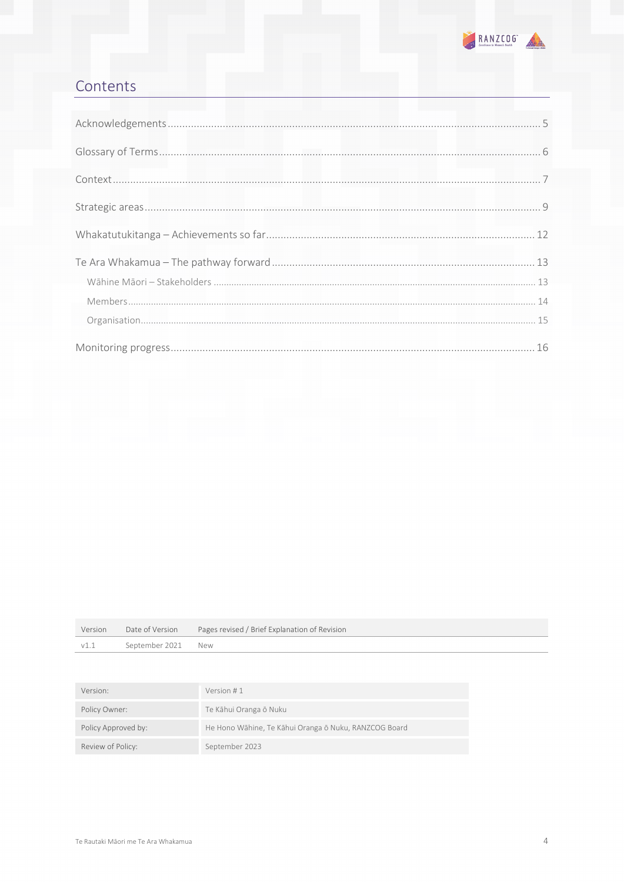

# Contents

|      |                    | Version Date of Version Pages revised / Brief Explanation of Revision |
|------|--------------------|-----------------------------------------------------------------------|
| v1.1 | September 2021 New |                                                                       |

| Version:            | Version #1                                            |
|---------------------|-------------------------------------------------------|
| Policy Owner:       | Te Kāhui Oranga ō Nuku                                |
| Policy Approved by: | He Hono Wāhine, Te Kāhui Oranga ō Nuku, RANZCOG Board |
| Review of Policy:   | September 2023                                        |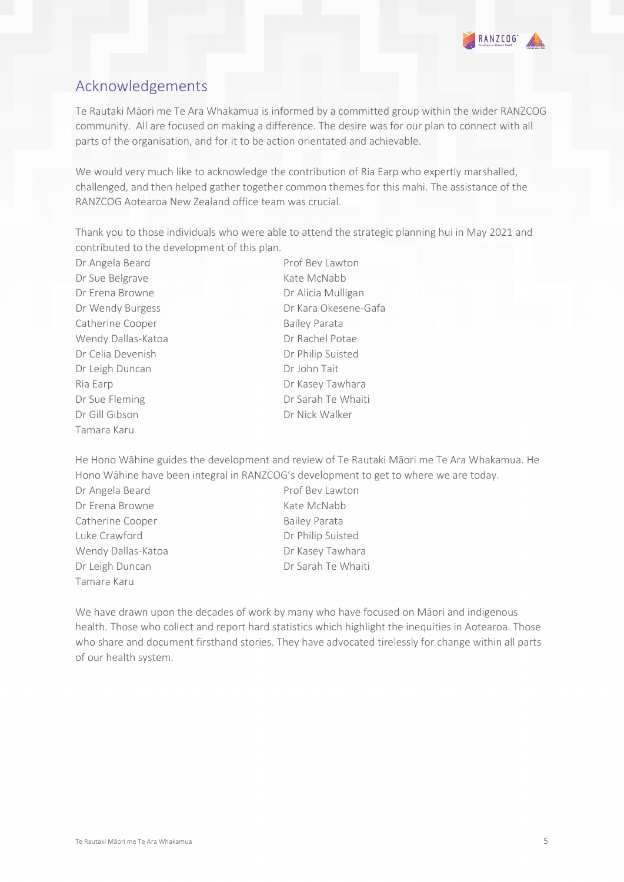

# <span id="page-4-0"></span>Acknowledgements

Te Rautaki Māori me Te Ara Whakamua is informed by a committed group within the wider RANZCOG community. All are focused on making a difference. The desire was for our plan to connect with all parts of the organisation, and for it to be action orientated and achievable.

We would very much like to acknowledge the contribution of Ria Earp who expertly marshalled, challenged, and then helped gather together common themes for this mahi. The assistance of the RANZCOG Aotearoa New Zealand office team was crucial.

Thank you to those individuals who were able to attend the strategic planning hui in May 2021 and contributed to the development of this plan.

Dr Angela Beard Prof Bev Lawton Dr Sue Belgrave Kate McNabb Dr Erena Browne Dr Alicia Mulligan Catherine Cooper Bailey Parata Wendy Dallas-Katoa Dr Rachel Potae Dr Celia Devenish Dr Philip Suisted Dr Leigh Duncan Dr John Tait Ria Earp **Dr Kasey Tawhara** Dr Sue Fleming Dr Sarah Te Whaiti Dr Gill Gibson Dr Nick Walker Tamara Karu

Dr Wendy Burgess **Dr Kara Okesene-Gafa** 

He Hono Wāhine guides the development and review of Te Rautaki Māori me Te Ara Whakamua. He Hono Wāhine have been integral in RANZCOG's development to get to where we are today.

- Dr Angela Beard Prof Bev Lawton Dr Erena Browne Kate McNabb Catherine Cooper **Bailey Parata** Luke Crawford **Dr Philip Suisted** Wendy Dallas-Katoa Dr Kasey Tawhara Dr Leigh Duncan Dr Sarah Te Whaiti Tamara Karu
- 

We have drawn upon the decades of work by many who have focused on Māori and indigenous health. Those who collect and report hard statistics which highlight the inequities in Aotearoa. Those who share and document firsthand stories. They have advocated tirelessly for change within all parts of our health system.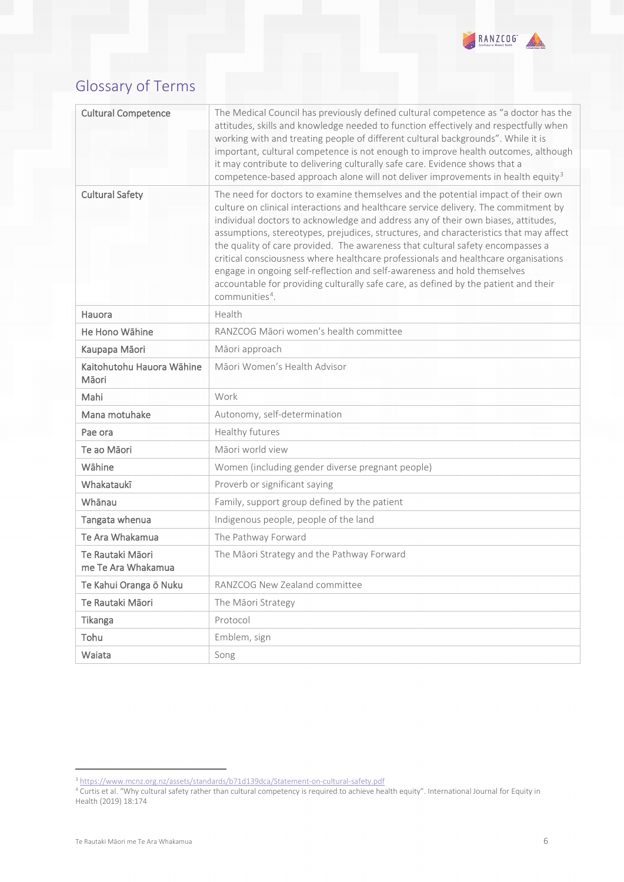

# <span id="page-5-0"></span>Glossary of Terms

| <b>Cultural Competence</b>             | The Medical Council has previously defined cultural competence as "a doctor has the<br>attitudes, skills and knowledge needed to function effectively and respectfully when<br>working with and treating people of different cultural backgrounds". While it is<br>important, cultural competence is not enough to improve health outcomes, although<br>it may contribute to delivering culturally safe care. Evidence shows that a<br>competence-based approach alone will not deliver improvements in health equity <sup>3</sup>                                                                                                                                                                                             |  |
|----------------------------------------|--------------------------------------------------------------------------------------------------------------------------------------------------------------------------------------------------------------------------------------------------------------------------------------------------------------------------------------------------------------------------------------------------------------------------------------------------------------------------------------------------------------------------------------------------------------------------------------------------------------------------------------------------------------------------------------------------------------------------------|--|
| <b>Cultural Safety</b>                 | The need for doctors to examine themselves and the potential impact of their own<br>culture on clinical interactions and healthcare service delivery. The commitment by<br>individual doctors to acknowledge and address any of their own biases, attitudes,<br>assumptions, stereotypes, prejudices, structures, and characteristics that may affect<br>the quality of care provided. The awareness that cultural safety encompasses a<br>critical consciousness where healthcare professionals and healthcare organisations<br>engage in ongoing self-reflection and self-awareness and hold themselves<br>accountable for providing culturally safe care, as defined by the patient and their<br>communities <sup>4</sup> . |  |
| Hauora                                 | Health                                                                                                                                                                                                                                                                                                                                                                                                                                                                                                                                                                                                                                                                                                                         |  |
| He Hono Wāhine                         | RANZCOG Māori women's health committee                                                                                                                                                                                                                                                                                                                                                                                                                                                                                                                                                                                                                                                                                         |  |
| Kaupapa Māori                          | Māori approach                                                                                                                                                                                                                                                                                                                                                                                                                                                                                                                                                                                                                                                                                                                 |  |
| Kaitohutohu Hauora Wāhine<br>Māori     | Māori Women's Health Advisor                                                                                                                                                                                                                                                                                                                                                                                                                                                                                                                                                                                                                                                                                                   |  |
| Mahi                                   | Work                                                                                                                                                                                                                                                                                                                                                                                                                                                                                                                                                                                                                                                                                                                           |  |
| Mana motuhake                          | Autonomy, self-determination                                                                                                                                                                                                                                                                                                                                                                                                                                                                                                                                                                                                                                                                                                   |  |
| Pae ora                                | Healthy futures                                                                                                                                                                                                                                                                                                                                                                                                                                                                                                                                                                                                                                                                                                                |  |
| Te ao Māori                            | Māori world view                                                                                                                                                                                                                                                                                                                                                                                                                                                                                                                                                                                                                                                                                                               |  |
| Wāhine                                 | Women (including gender diverse pregnant people)                                                                                                                                                                                                                                                                                                                                                                                                                                                                                                                                                                                                                                                                               |  |
| Whakataukī                             | Proverb or significant saying                                                                                                                                                                                                                                                                                                                                                                                                                                                                                                                                                                                                                                                                                                  |  |
| Whānau                                 | Family, support group defined by the patient                                                                                                                                                                                                                                                                                                                                                                                                                                                                                                                                                                                                                                                                                   |  |
| Tangata whenua                         | Indigenous people, people of the land                                                                                                                                                                                                                                                                                                                                                                                                                                                                                                                                                                                                                                                                                          |  |
| Te Ara Whakamua                        | The Pathway Forward                                                                                                                                                                                                                                                                                                                                                                                                                                                                                                                                                                                                                                                                                                            |  |
| Te Rautaki Māori<br>me Te Ara Whakamua | The Māori Strategy and the Pathway Forward                                                                                                                                                                                                                                                                                                                                                                                                                                                                                                                                                                                                                                                                                     |  |
| Te Kahui Oranga ō Nuku                 | RANZCOG New Zealand committee                                                                                                                                                                                                                                                                                                                                                                                                                                                                                                                                                                                                                                                                                                  |  |
| Te Rautaki Māori                       | The Māori Strategy                                                                                                                                                                                                                                                                                                                                                                                                                                                                                                                                                                                                                                                                                                             |  |
| Tikanga                                | Protocol                                                                                                                                                                                                                                                                                                                                                                                                                                                                                                                                                                                                                                                                                                                       |  |
| Tohu                                   | Emblem, sign                                                                                                                                                                                                                                                                                                                                                                                                                                                                                                                                                                                                                                                                                                                   |  |
| Waiata                                 | Song                                                                                                                                                                                                                                                                                                                                                                                                                                                                                                                                                                                                                                                                                                                           |  |

<sup>&</sup>lt;sup>3</sup> [https://www.mcnz.org.nz/assets/standards/b71d139dca/Statement](https://www.mcnz.org.nz/assets/standards/b71d139dca/Statement-on-cultural-safety.pdf)-on-cultural-safety.pdf

<span id="page-5-2"></span><span id="page-5-1"></span><sup>4</sup> Curtis et al. "Why cultural safety rather than cultural competency is required to achieve health equity". International Journal for Equity in Health (2019) 18:174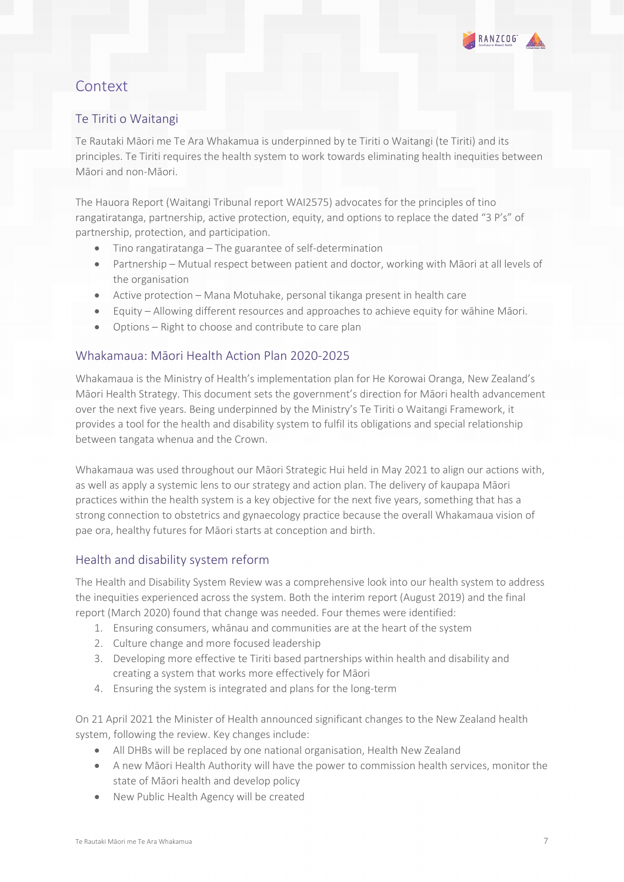

# <span id="page-6-0"></span>**Context**

### Te Tiriti o Waitangi

Te Rautaki Māori me Te Ara Whakamua is underpinned by te Tiriti o Waitangi (te Tiriti) and its principles. Te Tiriti requires the health system to work towards eliminating health inequities between Māori and non-Māori.

The Hauora Report (Waitangi Tribunal report WAI2575) advocates for the principles of tino rangatiratanga, partnership, active protection, equity, and options to replace the dated "3 P's" of partnership, protection, and participation.

- Tino rangatiratanga The guarantee of self-determination
- Partnership Mutual respect between patient and doctor, working with Māori at all levels of the organisation
- Active protection Mana Motuhake, personal tikanga present in health care
- Equity Allowing different resources and approaches to achieve equity for wāhine Māori.
- Options Right to choose and contribute to care plan

#### Whakamaua: Māori Health Action Plan 2020-2025

Whakamaua is the Ministry of Health's implementation plan for He Korowai Oranga, New Zealand's Māori Health Strategy. This document sets the government's direction for Māori health advancement over the next five years. Being underpinned by the Ministry's Te Tiriti o Waitangi Framework, it provides a tool for the health and disability system to fulfil its obligations and special relationship between tangata whenua and the Crown.

Whakamaua was used throughout our Māori Strategic Hui held in May 2021 to align our actions with, as well as apply a systemic lens to our strategy and action plan. The delivery of kaupapa Māori practices within the health system is a key objective for the next five years, something that has a strong connection to obstetrics and gynaecology practice because the overall Whakamaua vision of pae ora, healthy futures for Māori starts at conception and birth.

#### Health and disability system reform

The Health and Disability System Review was a comprehensive look into our health system to address the inequities experienced across the system. Both the interim report (August 2019) and the final report (March 2020) found that change was needed. Four themes were identified:

- 1. Ensuring consumers, whānau and communities are at the heart of the system
- 2. Culture change and more focused leadership
- 3. Developing more effective te Tiriti based partnerships within health and disability and creating a system that works more effectively for Māori
- 4. Ensuring the system is integrated and plans for the long-term

On 21 April 2021 the Minister of Health announced significant changes to the New Zealand health system, following the review. Key changes include:

- All DHBs will be replaced by one national organisation, Health New Zealand
- A new Māori Health Authority will have the power to commission health services, monitor the state of Māori health and develop policy
- New Public Health Agency will be created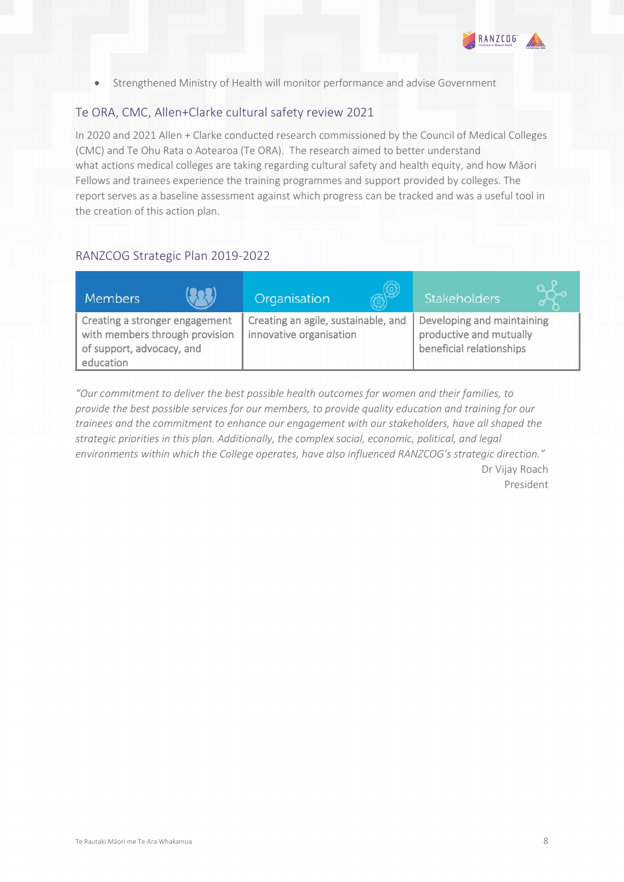

• Strengthened Ministry of Health will monitor performance and advise Government

### Te ORA, CMC, Allen+Clarke cultural safety review 2021

In 2020 and 2021 Allen + Clarke conducted research commissioned by the Council of Medical Colleges (CMC) and Te Ohu Rata o Aotearoa (Te ORA). The research aimed to better understand what actions medical colleges are taking regarding cultural safety and health equity, and how Māori Fellows and trainees experience the training programmes and support provided by colleges. The report serves as a baseline assessment against which progress can be tracked and was a useful tool in the creation of this action plan.

#### RANZCOG Strategic Plan 2019-2022

| <b>Members</b>                                                                                             |  | Organisation                                                   | Stakeholders                                                                      |  |
|------------------------------------------------------------------------------------------------------------|--|----------------------------------------------------------------|-----------------------------------------------------------------------------------|--|
| Creating a stronger engagement<br>with members through provision<br>of support, advocacy, and<br>education |  | Creating an agile, sustainable, and<br>innovative organisation | Developing and maintaining<br>productive and mutually<br>beneficial relationships |  |

*"Our commitment to deliver the best possible health outcomes for women and their families, to provide the best possible services for our members, to provide quality education and training for our trainees and the commitment to enhance our engagement with our stakeholders, have all shaped the strategic priorities in this plan. Additionally, the complex social, economic, political, and legal environments within which the College operates, have also influenced RANZCOG's strategic direction."* Dr Vijay Roach President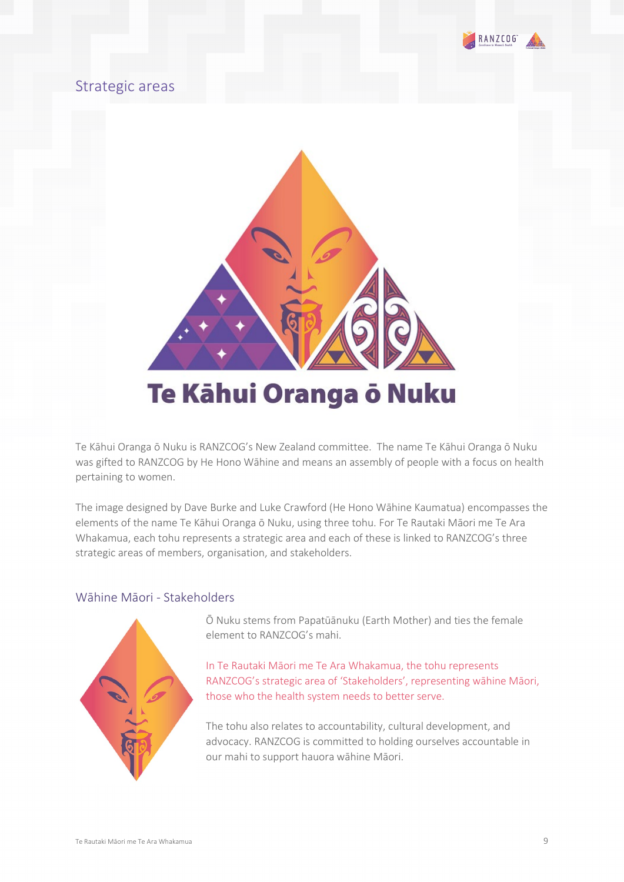

## <span id="page-8-0"></span>Strategic areas



Te Kāhui Oranga ō Nuku is RANZCOG's New Zealand committee. The name Te Kāhui Oranga ō Nuku was gifted to RANZCOG by He Hono Wāhine and means an assembly of people with a focus on health pertaining to women.

The image designed by Dave Burke and Luke Crawford (He Hono Wāhine Kaumatua) encompasses the elements of the name Te Kāhui Oranga ō Nuku, using three tohu. For Te Rautaki Māori me Te Ara Whakamua, each tohu represents a strategic area and each of these is linked to RANZCOG's three strategic areas of members, organisation, and stakeholders.

#### Wāhine Māori - Stakeholders



Ō Nuku stems from Papatūānuku (Earth Mother) and ties the female element to RANZCOG's mahi.

In Te Rautaki Māori me Te Ara Whakamua, the tohu represents RANZCOG's strategic area of 'Stakeholders', representing wāhine Māori, those who the health system needs to better serve.

The tohu also relates to accountability, cultural development, and advocacy. RANZCOG is committed to holding ourselves accountable in our mahi to support hauora wāhine Māori.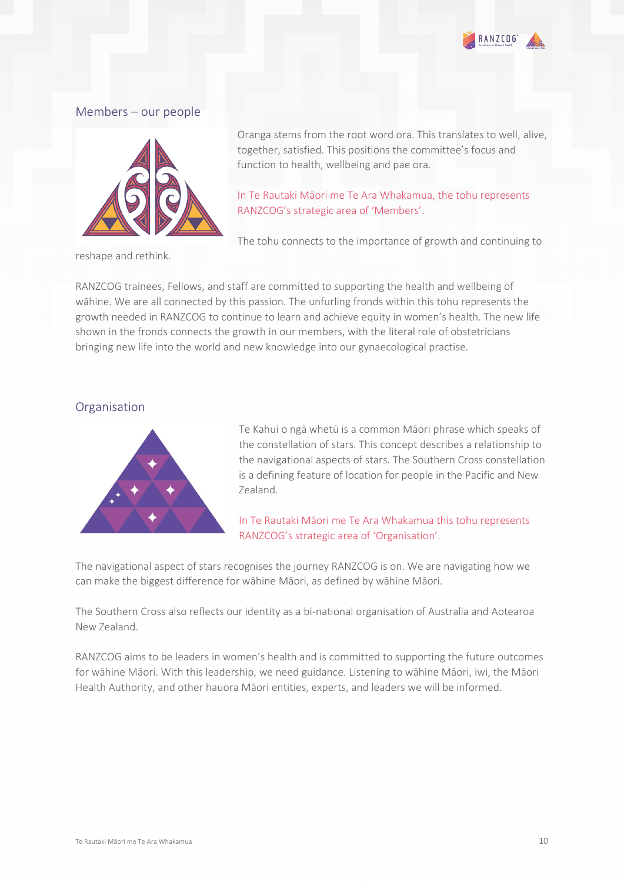

#### Members – our people



reshape and rethink.

Oranga stems from the root word ora. This translates to well, alive, together, satisfied. This positions the committee's focus and function to health, wellbeing and pae ora.

In Te Rautaki Māori me Te Ara Whakamua, the tohu represents RANZCOG's strategic area of 'Members'.

The tohu connects to the importance of growth and continuing to

RANZCOG trainees, Fellows, and staff are committed to supporting the health and wellbeing of wāhine. We are all connected by this passion. The unfurling fronds within this tohu represents the growth needed in RANZCOG to continue to learn and achieve equity in women's health. The new life shown in the fronds connects the growth in our members, with the literal role of obstetricians bringing new life into the world and new knowledge into our gynaecological practise.

#### Organisation



Te Kahui o ngā whetū is a common Māori phrase which speaks of the constellation of stars. This concept describes a relationship to the navigational aspects of stars. The Southern Cross constellation is a defining feature of location for people in the Pacific and New Zealand.

In Te Rautaki Māori me Te Ara Whakamua this tohu represents RANZCOG's strategic area of 'Organisation'.

The navigational aspect of stars recognises the journey RANZCOG is on. We are navigating how we can make the biggest difference for wāhine Māori, as defined by wāhine Māori.

The Southern Cross also reflects our identity as a bi-national organisation of Australia and Aotearoa New Zealand.

RANZCOG aims to be leaders in women's health and is committed to supporting the future outcomes for wāhine Māori. With this leadership, we need guidance. Listening to wāhine Māori, iwi, the Māori Health Authority, and other hauora Māori entities, experts, and leaders we will be informed.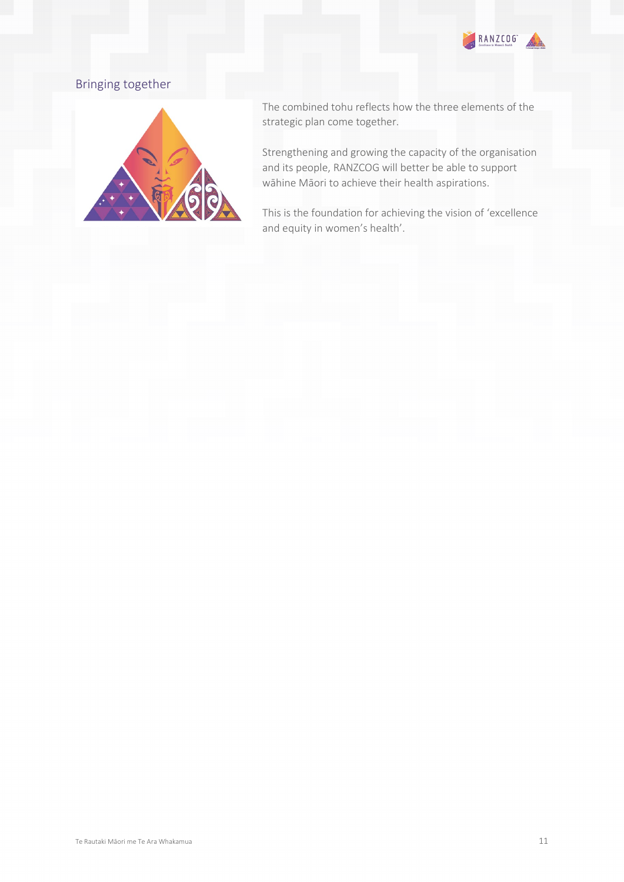

### Bringing together



The combined tohu reflects how the three elements of the strategic plan come together.

Strengthening and growing the capacity of the organisation and its people, RANZCOG will better be able to support wāhine Māori to achieve their health aspirations.

This is the foundation for achieving the vision of 'excellence and equity in women's health'.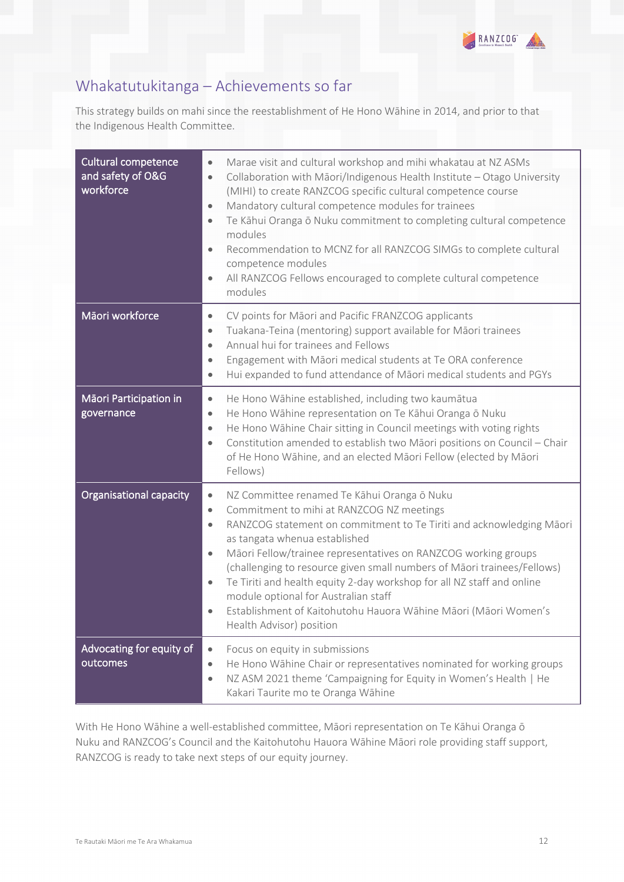

# <span id="page-11-0"></span>Whakatutukitanga – Achievements so far

This strategy builds on mahi since the reestablishment of He Hono Wāhine in 2014, and prior to that the Indigenous Health Committee.

| <b>Cultural competence</b><br>and safety of O&G<br>workforce | Marae visit and cultural workshop and mihi whakatau at NZ ASMs<br>$\bullet$<br>Collaboration with Māori/Indigenous Health Institute - Otago University<br>$\bullet$<br>(MIHI) to create RANZCOG specific cultural competence course<br>Mandatory cultural competence modules for trainees<br>$\bullet$<br>Te Kāhui Oranga ō Nuku commitment to completing cultural competence<br>$\bullet$<br>modules<br>Recommendation to MCNZ for all RANZCOG SIMGs to complete cultural<br>$\bullet$<br>competence modules<br>All RANZCOG Fellows encouraged to complete cultural competence<br>$\bullet$<br>modules                          |
|--------------------------------------------------------------|----------------------------------------------------------------------------------------------------------------------------------------------------------------------------------------------------------------------------------------------------------------------------------------------------------------------------------------------------------------------------------------------------------------------------------------------------------------------------------------------------------------------------------------------------------------------------------------------------------------------------------|
| Māori workforce                                              | CV points for Māori and Pacific FRANZCOG applicants<br>$\bullet$<br>Tuakana-Teina (mentoring) support available for Māori trainees<br>$\bullet$<br>Annual hui for trainees and Fellows<br>$\bullet$<br>Engagement with Māori medical students at Te ORA conference<br>$\bullet$<br>Hui expanded to fund attendance of Māori medical students and PGYs<br>$\bullet$                                                                                                                                                                                                                                                               |
| Māori Participation in<br>governance                         | He Hono Wāhine established, including two kaumātua<br>$\bullet$<br>He Hono Wāhine representation on Te Kāhui Oranga ō Nuku<br>$\bullet$<br>He Hono Wāhine Chair sitting in Council meetings with voting rights<br>$\bullet$<br>Constitution amended to establish two Māori positions on Council - Chair<br>$\bullet$<br>of He Hono Wāhine, and an elected Māori Fellow (elected by Māori<br>Fellows)                                                                                                                                                                                                                             |
| Organisational capacity                                      | NZ Committee renamed Te Kāhui Oranga ō Nuku<br>$\bullet$<br>Commitment to mihi at RANZCOG NZ meetings<br>$\bullet$<br>RANZCOG statement on commitment to Te Tiriti and acknowledging Māori<br>$\bullet$<br>as tangata whenua established<br>Māori Fellow/trainee representatives on RANZCOG working groups<br>$\bullet$<br>(challenging to resource given small numbers of Māori trainees/Fellows)<br>Te Tiriti and health equity 2-day workshop for all NZ staff and online<br>$\bullet$<br>module optional for Australian staff<br>Establishment of Kaitohutohu Hauora Wāhine Māori (Māori Women's<br>Health Advisor) position |
| Advocating for equity of<br>outcomes                         | Focus on equity in submissions<br>$\bullet$<br>He Hono Wāhine Chair or representatives nominated for working groups<br>$\bullet$<br>NZ ASM 2021 theme 'Campaigning for Equity in Women's Health   He<br>$\bullet$<br>Kakari Taurite mo te Oranga Wāhine                                                                                                                                                                                                                                                                                                                                                                          |

With He Hono Wāhine a well-established committee, Māori representation on Te Kāhui Oranga ō Nuku and RANZCOG's Council and the Kaitohutohu Hauora Wāhine Māori role providing staff support, RANZCOG is ready to take next steps of our equity journey.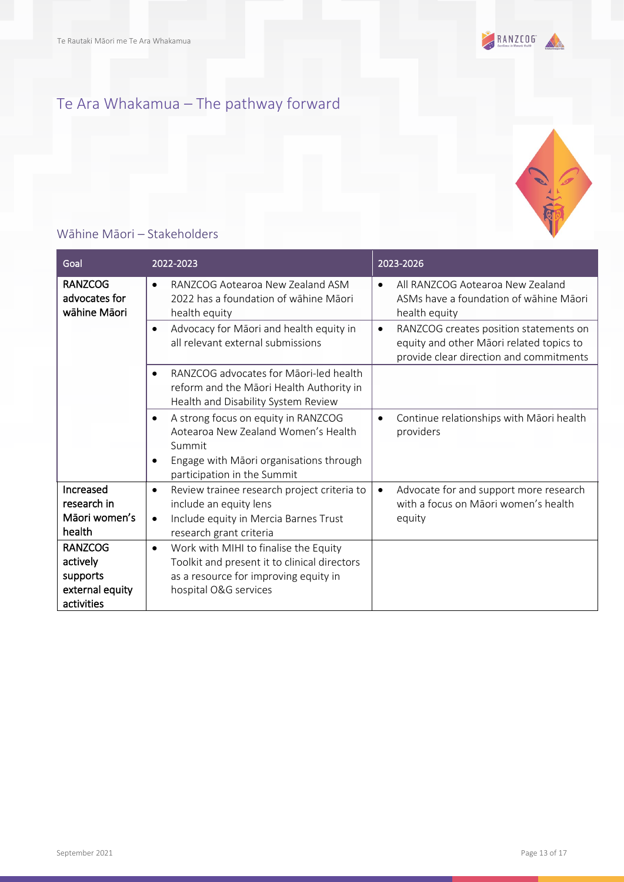

# <span id="page-12-0"></span>Te Ara Whakamua – The pathway forward

### <span id="page-12-1"></span>Wāhine Māori – Stakeholders

| Goal                                                                    | 2022-2023                                                                                                                                                                                | 2023-2026                                                                                                                                  |
|-------------------------------------------------------------------------|------------------------------------------------------------------------------------------------------------------------------------------------------------------------------------------|--------------------------------------------------------------------------------------------------------------------------------------------|
| <b>RANZCOG</b><br>advocates for<br>wāhine Māori                         | RANZCOG Aotearoa New Zealand ASM<br>$\bullet$<br>2022 has a foundation of wāhine Māori<br>health equity                                                                                  | All RANZCOG Aotearoa New Zealand<br>$\bullet$<br>ASMs have a foundation of wāhine Māori<br>health equity                                   |
|                                                                         | Advocacy for Māori and health equity in<br>$\bullet$<br>all relevant external submissions                                                                                                | RANZCOG creates position statements on<br>$\bullet$<br>equity and other Māori related topics to<br>provide clear direction and commitments |
|                                                                         | RANZCOG advocates for Māori-led health<br>$\bullet$<br>reform and the Māori Health Authority in<br>Health and Disability System Review                                                   |                                                                                                                                            |
|                                                                         | A strong focus on equity in RANZCOG<br>$\bullet$<br>Aotearoa New Zealand Women's Health<br>Summit<br>Engage with Māori organisations through<br>$\bullet$<br>participation in the Summit | Continue relationships with Māori health<br>$\bullet$<br>providers                                                                         |
| Increased<br>research in<br>Māori women's<br>health                     | Review trainee research project criteria to<br>$\bullet$<br>include an equity lens<br>Include equity in Mercia Barnes Trust<br>$\bullet$<br>research grant criteria                      | Advocate for and support more research<br>$\bullet$<br>with a focus on Māori women's health<br>equity                                      |
| <b>RANZCOG</b><br>actively<br>supports<br>external equity<br>activities | Work with MIHI to finalise the Equity<br>$\bullet$<br>Toolkit and present it to clinical directors<br>as a resource for improving equity in<br>hospital O&G services                     |                                                                                                                                            |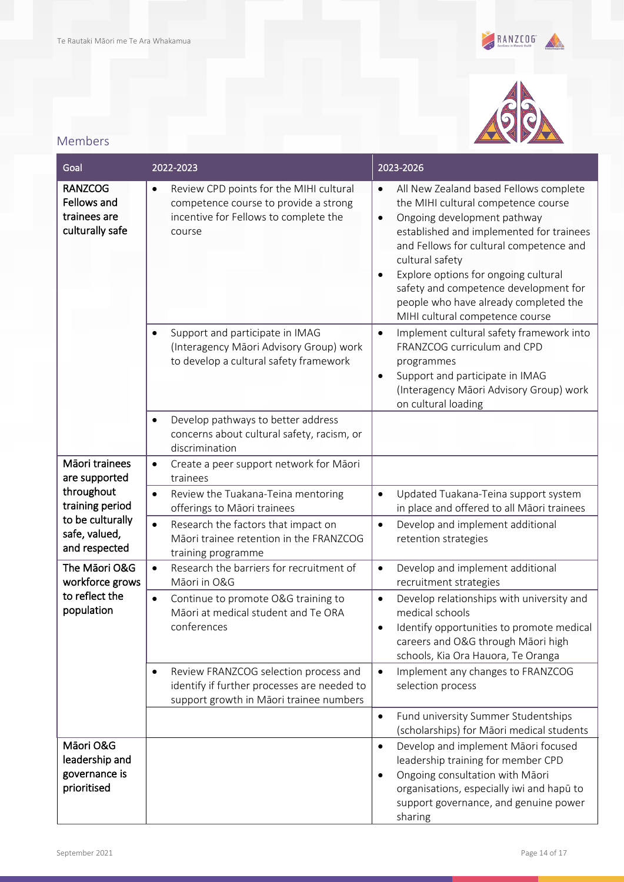



### <span id="page-13-0"></span>Members

| Goal                                                             | 2022-2023                                                                                                                                        | 2023-2026                                                                                                                                                                                                                                                                                                                                                                                                     |
|------------------------------------------------------------------|--------------------------------------------------------------------------------------------------------------------------------------------------|---------------------------------------------------------------------------------------------------------------------------------------------------------------------------------------------------------------------------------------------------------------------------------------------------------------------------------------------------------------------------------------------------------------|
| <b>RANZCOG</b><br>Fellows and<br>trainees are<br>culturally safe | Review CPD points for the MIHI cultural<br>$\bullet$<br>competence course to provide a strong<br>incentive for Fellows to complete the<br>course | All New Zealand based Fellows complete<br>$\bullet$<br>the MIHI cultural competence course<br>Ongoing development pathway<br>$\bullet$<br>established and implemented for trainees<br>and Fellows for cultural competence and<br>cultural safety<br>Explore options for ongoing cultural<br>safety and competence development for<br>people who have already completed the<br>MIHI cultural competence course |
|                                                                  | Support and participate in IMAG<br>$\bullet$<br>(Interagency Māori Advisory Group) work<br>to develop a cultural safety framework                | Implement cultural safety framework into<br>$\bullet$<br>FRANZCOG curriculum and CPD<br>programmes<br>Support and participate in IMAG<br>$\bullet$<br>(Interagency Māori Advisory Group) work<br>on cultural loading                                                                                                                                                                                          |
|                                                                  | Develop pathways to better address<br>$\bullet$<br>concerns about cultural safety, racism, or<br>discrimination                                  |                                                                                                                                                                                                                                                                                                                                                                                                               |
| Māori trainees<br>are supported                                  | Create a peer support network for Māori<br>$\bullet$<br>trainees                                                                                 |                                                                                                                                                                                                                                                                                                                                                                                                               |
| throughout<br>training period                                    | Review the Tuakana-Teina mentoring<br>$\bullet$<br>offerings to Māori trainees                                                                   | Updated Tuakana-Teina support system<br>$\bullet$<br>in place and offered to all Māori trainees                                                                                                                                                                                                                                                                                                               |
| to be culturally<br>safe, valued,<br>and respected               | Research the factors that impact on<br>$\bullet$<br>Māori trainee retention in the FRANZCOG<br>training programme                                | Develop and implement additional<br>$\bullet$<br>retention strategies                                                                                                                                                                                                                                                                                                                                         |
| The Māori O&G<br>workforce grows                                 | Research the barriers for recruitment of<br>$\bullet$<br>Māori in O&G                                                                            | Develop and implement additional<br>$\bullet$<br>recruitment strategies                                                                                                                                                                                                                                                                                                                                       |
| to reflect the<br>population                                     | Continue to promote O&G training to<br>$\bullet$<br>Māori at medical student and Te ORA<br>conferences                                           | Develop relationships with university and<br>$\bullet$<br>medical schools<br>Identify opportunities to promote medical<br>careers and O&G through Māori high<br>schools, Kia Ora Hauora, Te Oranga                                                                                                                                                                                                            |
|                                                                  | Review FRANZCOG selection process and<br>$\bullet$<br>identify if further processes are needed to<br>support growth in Māori trainee numbers     | Implement any changes to FRANZCOG<br>$\bullet$<br>selection process                                                                                                                                                                                                                                                                                                                                           |
|                                                                  |                                                                                                                                                  | Fund university Summer Studentships<br>$\bullet$<br>(scholarships) for Māori medical students                                                                                                                                                                                                                                                                                                                 |
| Māori O&G<br>leadership and<br>governance is<br>prioritised      |                                                                                                                                                  | Develop and implement Māori focused<br>$\bullet$<br>leadership training for member CPD<br>Ongoing consultation with Māori<br>$\bullet$<br>organisations, especially iwi and hapū to<br>support governance, and genuine power<br>sharing                                                                                                                                                                       |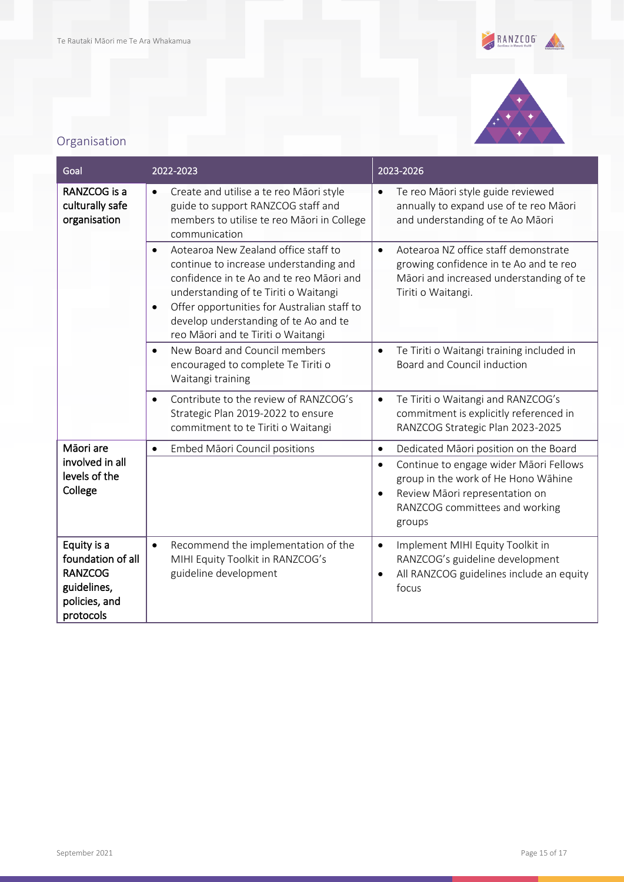



# <span id="page-14-0"></span>Organisation

| Goal                                                                                            | 2022-2023                                                                                                                                                                                                                                                                                                                   | 2023-2026                                                                                                                                                                             |
|-------------------------------------------------------------------------------------------------|-----------------------------------------------------------------------------------------------------------------------------------------------------------------------------------------------------------------------------------------------------------------------------------------------------------------------------|---------------------------------------------------------------------------------------------------------------------------------------------------------------------------------------|
| RANZCOG is a<br>culturally safe<br>organisation                                                 | Create and utilise a te reo Māori style<br>$\bullet$<br>guide to support RANZCOG staff and<br>members to utilise te reo Māori in College<br>communication                                                                                                                                                                   | Te reo Māori style guide reviewed<br>annually to expand use of te reo Māori<br>and understanding of te Ao Māori                                                                       |
|                                                                                                 | Aotearoa New Zealand office staff to<br>$\bullet$<br>continue to increase understanding and<br>confidence in te Ao and te reo Māori and<br>understanding of te Tiriti o Waitangi<br>Offer opportunities for Australian staff to<br>$\bullet$<br>develop understanding of te Ao and te<br>reo Māori and te Tiriti o Waitangi | Aotearoa NZ office staff demonstrate<br>$\bullet$<br>growing confidence in te Ao and te reo<br>Māori and increased understanding of te<br>Tiriti o Waitangi.                          |
|                                                                                                 | New Board and Council members<br>$\bullet$<br>encouraged to complete Te Tiriti o<br>Waitangi training                                                                                                                                                                                                                       | Te Tiriti o Waitangi training included in<br>$\bullet$<br>Board and Council induction                                                                                                 |
|                                                                                                 | Contribute to the review of RANZCOG's<br>$\bullet$<br>Strategic Plan 2019-2022 to ensure<br>commitment to te Tiriti o Waitangi                                                                                                                                                                                              | Te Tiriti o Waitangi and RANZCOG's<br>$\bullet$<br>commitment is explicitly referenced in<br>RANZCOG Strategic Plan 2023-2025                                                         |
| Mãori are                                                                                       | Embed Māori Council positions<br>$\bullet$                                                                                                                                                                                                                                                                                  | Dedicated Māori position on the Board<br>$\bullet$                                                                                                                                    |
| involved in all<br>levels of the<br>College                                                     |                                                                                                                                                                                                                                                                                                                             | Continue to engage wider Māori Fellows<br>$\bullet$<br>group in the work of He Hono Wāhine<br>Review Māori representation on<br>$\bullet$<br>RANZCOG committees and working<br>groups |
| Equity is a<br>foundation of all<br><b>RANZCOG</b><br>guidelines,<br>policies, and<br>protocols | Recommend the implementation of the<br>$\bullet$<br>MIHI Equity Toolkit in RANZCOG's<br>guideline development                                                                                                                                                                                                               | Implement MIHI Equity Toolkit in<br>$\bullet$<br>RANZCOG's guideline development<br>All RANZCOG guidelines include an equity<br>focus                                                 |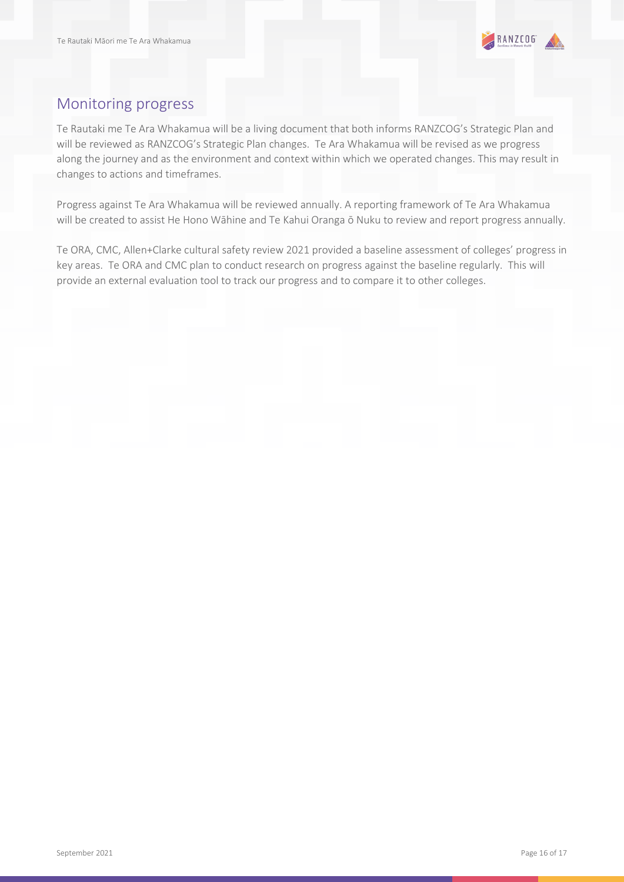

# <span id="page-15-0"></span>Monitoring progress

Te Rautaki me Te Ara Whakamua will be a living document that both informs RANZCOG's Strategic Plan and will be reviewed as RANZCOG's Strategic Plan changes. Te Ara Whakamua will be revised as we progress along the journey and as the environment and context within which we operated changes. This may result in changes to actions and timeframes.

Progress against Te Ara Whakamua will be reviewed annually. A reporting framework of Te Ara Whakamua will be created to assist He Hono Wāhine and Te Kahui Oranga ō Nuku to review and report progress annually.

Te ORA, CMC, Allen+Clarke cultural safety review 2021 provided a baseline assessment of colleges' progress in key areas. Te ORA and CMC plan to conduct research on progress against the baseline regularly. This will provide an external evaluation tool to track our progress and to compare it to other colleges.